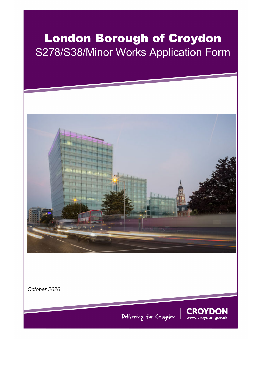# London Borough of Croydon S278/S38/Minor Works Application Form



*October 2020* 

Delivering for Croydon

**CROYDON** www.croydon.gov.uk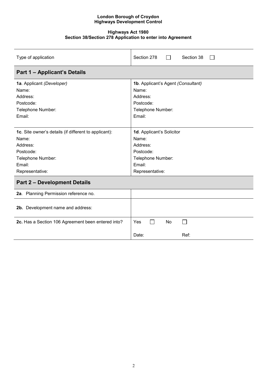#### **Highways Act 1980 Section 38/Section 278 Application to enter into Agreement**

| Type of application                                   | Section 278<br>Section 38          |  |  |
|-------------------------------------------------------|------------------------------------|--|--|
| <b>Part 1 - Applicant's Details</b>                   |                                    |  |  |
| 1a. Applicant (Developer)                             | 1b. Applicant's Agent (Consultant) |  |  |
| Name:                                                 | Name:                              |  |  |
| Address:                                              | Address:                           |  |  |
| Postcode:                                             | Postcode:                          |  |  |
| Telephone Number:                                     | Telephone Number:                  |  |  |
| Email:                                                | Email:                             |  |  |
|                                                       |                                    |  |  |
| 1c. Site owner's details (if different to applicant): | 1d. Applicant's Solicitor          |  |  |
| Name:                                                 | Name:                              |  |  |
| Address:                                              | Address:                           |  |  |
| Postcode:                                             | Postcode:                          |  |  |
| Telephone Number:                                     | Telephone Number:                  |  |  |
| Email:                                                | Email:                             |  |  |
| Representative:                                       | Representative:                    |  |  |
| <b>Part 2 - Development Details</b>                   |                                    |  |  |
| 2a. Planning Permission reference no.                 |                                    |  |  |
| 2b. Development name and address:                     |                                    |  |  |
| 2c. Has a Section 106 Agreement been entered into?    | <b>Yes</b><br><b>No</b><br>$\sim$  |  |  |
|                                                       | Ref:<br>Date:                      |  |  |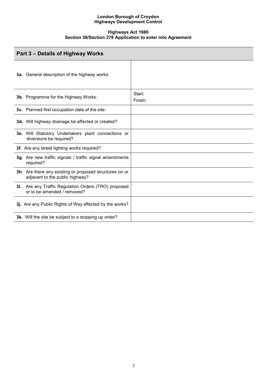#### **Highways Act 1980 Section 38/Section 278 Application to enter into Agreement**

| Part 3 – Details of Highway Works                                                          |                   |
|--------------------------------------------------------------------------------------------|-------------------|
| <b>3a.</b> General description of the highway works:                                       |                   |
| 3b. Programme for the Highway Works:                                                       | Start:<br>Finish: |
| 3c. Planned first occupation date of the site:                                             |                   |
| 3d. Will highway drainage be affected or created?                                          |                   |
| 3e. Will Statutory Undertakers plant connections or<br>diversions be required?             |                   |
| 3f. Are any street lighting works required?                                                |                   |
| 3g. Are new traffic signals / traffic signal amendments<br>required?                       |                   |
| 3h. Are there any existing or proposed structures on or<br>adjacent to the public highway? |                   |
| 3i. Are any Traffic Regulation Orders (TRO) proposed<br>or to be amended / removed?        |                   |
| 3j. Are any Public Rights of Way affected by the works?                                    |                   |
| 3k. Will the site be subject to a stopping up order?                                       |                   |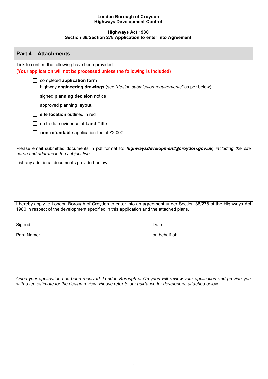#### **Highways Act 1980 Section 38/Section 278 Application to enter into Agreement**

#### **Part 4 – Attachments**

Tick to confirm the following have been provided: **(Your application will not be processed unless the following is included)**

completed **application form**

highway **engineering drawings** (see "*design submission requirements"* as per below)

signed **planning decision** notice

approved planning **layout** 

site location outlined in red

up to date evidence of **Land Title**

□ **non-refundable** application fee of £2,000.

Please email submitted documents in pdf format to: *highwaysdevelopment@croydon.gov.uk, including the site name and address in the subject line.*

List any additional documents provided below:

I hereby apply to London Borough of Croydon to enter into an agreement under Section 38/278 of the Highways Act 1980 in respect of the development specified in this application and the attached plans.

Signed: Date:

Print Name: on behalf of:

*Once your application has been received, London Borough of Croydon will review your application and provide you with a fee estimate for the design review. Please refer to our guidance for developers, attached below.*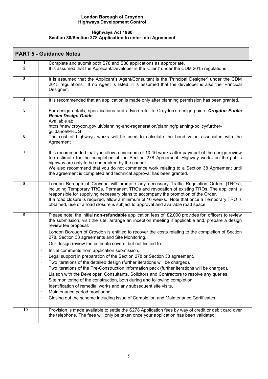#### **Highways Act 1980 Section 38/Section 278 Application to enter into Agreement**

|                         | <b>PART 5 - Guidance Notes</b>                                                                                                                                                                                                                                                                                                                                                                                                                                                                                                                                                                                                                                                                                                                                                                                                                                                                                                                                                                                                                                                                                                                        |
|-------------------------|-------------------------------------------------------------------------------------------------------------------------------------------------------------------------------------------------------------------------------------------------------------------------------------------------------------------------------------------------------------------------------------------------------------------------------------------------------------------------------------------------------------------------------------------------------------------------------------------------------------------------------------------------------------------------------------------------------------------------------------------------------------------------------------------------------------------------------------------------------------------------------------------------------------------------------------------------------------------------------------------------------------------------------------------------------------------------------------------------------------------------------------------------------|
| 1                       | Complete and submit both S78 and S38 applications as appropriate.                                                                                                                                                                                                                                                                                                                                                                                                                                                                                                                                                                                                                                                                                                                                                                                                                                                                                                                                                                                                                                                                                     |
| $\mathbf{2}$            | It is assumed that the Applicant/Developer is the 'Client' under the CDM 2015 regulations                                                                                                                                                                                                                                                                                                                                                                                                                                                                                                                                                                                                                                                                                                                                                                                                                                                                                                                                                                                                                                                             |
| $\overline{\mathbf{3}}$ | It is assumed that the Applicant's Agent/Consultant is the 'Principal Designer' under the CDM<br>2015 regulations. If no Agent is listed, it is assumed that the developer is also the 'Principal<br>Designer'.                                                                                                                                                                                                                                                                                                                                                                                                                                                                                                                                                                                                                                                                                                                                                                                                                                                                                                                                       |
| 4                       | It is recommended that an application is made only after planning permission has been granted.                                                                                                                                                                                                                                                                                                                                                                                                                                                                                                                                                                                                                                                                                                                                                                                                                                                                                                                                                                                                                                                        |
| 5                       | For design details, specifications and advice refer to Croydon's design guide: Croydon Public<br><b>Realm Design Guide</b><br>Available at:<br>https://new.croydon.gov.uk/planning-and-regeneration/planning/planning-policy/further-<br>guidance/PRDG                                                                                                                                                                                                                                                                                                                                                                                                                                                                                                                                                                                                                                                                                                                                                                                                                                                                                                |
| 6                       | The cost of highways works will be used to calculate the bond value associated with the<br>Agreement                                                                                                                                                                                                                                                                                                                                                                                                                                                                                                                                                                                                                                                                                                                                                                                                                                                                                                                                                                                                                                                  |
| $\overline{7}$          | It is recommended that you allow a minimum of 10-16 weeks after payment of the design review<br>fee estimate for the completion of the Section 278 Agreement. Highway works on the public<br>highway are only to be undertaken by the council.<br>We also recommend that you do not commence work relating to a Section 38 Agreement until<br>the agreement is completed and technical approval has been granted.                                                                                                                                                                                                                                                                                                                                                                                                                                                                                                                                                                                                                                                                                                                                     |
| $\pmb{8}$               | London Borough of Croydon will promote any necessary Traffic Regulation Orders (TROs),<br>including Temporary TROs, Permanent TROs and revocation of existing TROs. The applicant is<br>responsible for supplying necessary plans to accompany the promotion of the Order.<br>If a road closure is required, allow a minimum of 16 weeks. Note that once a Temporary TRO is<br>obtained, use of a road closure is subject to approval and available road space.                                                                                                                                                                                                                                                                                                                                                                                                                                                                                                                                                                                                                                                                                       |
| $\boldsymbol{9}$        | Please note, the initial non-refundable application fees of $£2,000$ provides for officers to review<br>the submission, visit the site, arrange an inception meeting if applicable and, prepare a design<br>review fee proposal.<br>London Borough of Croydon is entitled to recover the costs relating to the completion of Section<br>278, Section 38 agreements and Site Monitoring.<br>Our design review fee estimate covers, but not limited to:<br>Initial comments from application submission,<br>Legal support in preparation of the Section 278 or Section 38 agreement,<br>Two iterations of the detailed design (further iterations will be charged),<br>٠<br>Two iterations of the Pre-Construction Information pack (further iterations will be charged),<br>Liaison with the Developer, Consultants, Solicitors and Contractors to resolve any queries,<br>Site monitoring of the construction, both during and following completion,<br>Identification of remedial works and any subsequent site visits,<br>Maintenance period monitoring,<br>٠<br>Closing out the scheme including issue of Completion and Maintenance Certificates. |
| 10                      | Provision is made available to settle the S278 Application fees by way of credit or debit card over<br>the telephone. The fees will only be taken once your application has been validated.                                                                                                                                                                                                                                                                                                                                                                                                                                                                                                                                                                                                                                                                                                                                                                                                                                                                                                                                                           |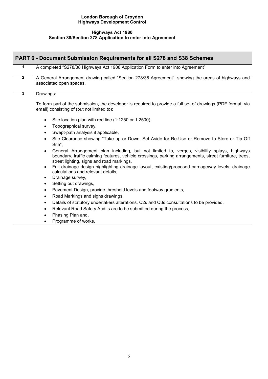#### **Highways Act 1980 Section 38/Section 278 Application to enter into Agreement**

|                | <b>PART 6 - Document Submission Requirements for all S278 and S38 Schemes</b>                                                                                                                                                                                  |
|----------------|----------------------------------------------------------------------------------------------------------------------------------------------------------------------------------------------------------------------------------------------------------------|
| 1              | A completed "S278/38 Highways Act 1908 Application Form to enter into Agreement"                                                                                                                                                                               |
| $\overline{2}$ | A General Arrangement drawing called "Section 278/38 Agreement", showing the areas of highways and<br>associated open spaces.                                                                                                                                  |
| $\overline{3}$ | Drawings:                                                                                                                                                                                                                                                      |
|                | To form part of the submission, the developer is required to provide a full set of drawings (PDF format, via<br>email) consisting of (but not limited to):                                                                                                     |
|                | Site location plan with red line (1:1250 or 1:2500),<br>$\bullet$                                                                                                                                                                                              |
|                | Topographical survey,<br>$\bullet$                                                                                                                                                                                                                             |
|                | Swept-path analysis if applicable,<br>$\bullet$                                                                                                                                                                                                                |
|                | Site Clearance showing "Take up or Down, Set Aside for Re-Use or Remove to Store or Tip Off<br>$\bullet$<br>Site",                                                                                                                                             |
|                | General Arrangement plan including, but not limited to, verges, visibility splays, highways<br>$\bullet$<br>boundary, traffic calming features, vehicle crossings, parking arrangements, street furniture, trees,<br>street lighting, signs and road markings, |
|                | Full drainage design highlighting drainage layout, existing/proposed carriageway levels, drainage<br>$\bullet$<br>calculations and relevant details,                                                                                                           |
|                | Drainage survey,<br>$\bullet$                                                                                                                                                                                                                                  |
|                | Setting out drawings,<br>$\bullet$                                                                                                                                                                                                                             |
|                | Pavement Design, provide threshold levels and footway gradients,<br>$\bullet$                                                                                                                                                                                  |
|                | Road Markings and signs drawings,<br>$\bullet$<br>Details of statutory undertakers alterations, C2s and C3s consultations to be provided,<br>$\bullet$                                                                                                         |
|                | Relevant Road Safety Audits are to be submitted during the process,                                                                                                                                                                                            |
|                | $\bullet$<br>Phasing Plan and,                                                                                                                                                                                                                                 |
|                | Programme of works.<br>٠                                                                                                                                                                                                                                       |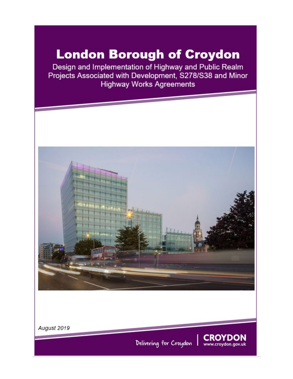# **London Borough of Croydon**

Design and Implementation of Highway and Public Realm Projects Associated with Development, S278/S38 and Minor **Highway Works Agreements** 



August 2019

Delivering for Croydon

**CROYDON** 

www.croydon.gov.uk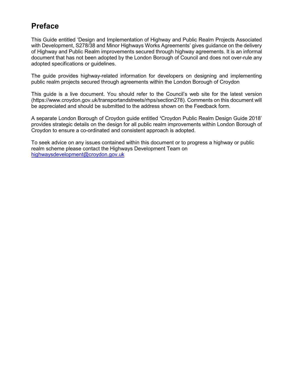## **Preface**

This Guide entitled 'Design and Implementation of Highway and Public Realm Projects Associated with Development, S278/38 and Minor Highways Works Agreements' gives guidance on the delivery of Highway and Public Realm improvements secured through highway agreements. It is an informal document that has not been adopted by the London Borough of Council and does not over-rule any adopted specifications or guidelines.

The guide provides highway-related information for developers on designing and implementing public realm projects secured through agreements within the London Borough of Croydon

This guide is a live document. You should refer to the Council's web site for the latest version (https://www.croydon.gov.uk/transportandstreets/rhps/section278). Comments on this document will be appreciated and should be submitted to the address shown on the Feedback form.

A separate London Borough of Croydon guide entitled **'**Croydon Public Realm Design Guide 2018' provides strategic details on the design for all public realm improvements within London Borough of Croydon to ensure a co-ordinated and consistent approach is adopted.

To seek advice on any issues contained within this document or to progress a highway or public realm scheme please contact the Highways Development Team on [highwaysdevelopment@croydon.gov.uk](mailto:highwaysdevelopment@croydon.gov.uk)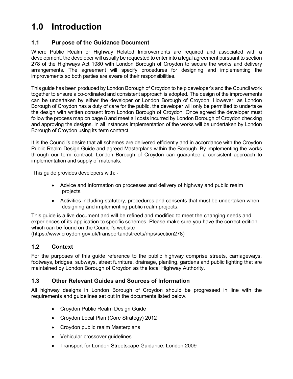## **1.0 Introduction**

#### **1.1 Purpose of the Guidance Document**

Where Public Realm or Highway Related Improvements are required and associated with a development, the developer will usually be requested to enter into a legal agreement pursuant to section 278 of the Highways Act 1980 with London Borough of Croydon to secure the works and delivery arrangements. The agreement will specify procedures for designing and implementing the improvements so both parties are aware of their responsibilities.

This guide has been produced by London Borough of Croydon to help developer's and the Council work together to ensure a co-ordinated and consistent approach is adopted. The design of the improvements can be undertaken by either the developer or London Borough of Croydon. However, as London Borough of Croydon has a duty of care for the public, the developer will only be permitted to undertake the design with written consent from London Borough of Croydon. Once agreed the developer must follow the process map on page 8 and meet all costs incurred by London Borough of Croydon checking and approving the designs. In all instances Implementation of the works will be undertaken by London Borough of Croydon using its term contract.

It is the Council's desire that all schemes are delivered efficiently and in accordance with the Croydon Public Realm Design Guide and agreed Masterplans within the Borough. By implementing the works through our term contract, London Borough of Croydon can guarantee a consistent approach to implementation and supply of materials.

This guide provides developers with: -

- Advice and information on processes and delivery of highway and public realm projects.
- Activities including statutory, procedures and consents that must be undertaken when designing and implementing public realm projects.

This guide is a live document and will be refined and modified to meet the changing needs and experiences of its application to specific schemes. Please make sure you have the correct edition which can be found on the Council's website

(https://www.croydon.gov.uk/transportandstreets/rhps/section278)

#### **1.2 Context**

For the purposes of this guide reference to the public highway comprise streets, carriageways, footways, bridges, subways, street furniture, drainage, planting, gardens and public lighting that are maintained by London Borough of Croydon as the local Highway Authority.

#### **1.3 Other Relevant Guides and Sources of Information**

All highway designs in London Borough of Croydon should be progressed in line with the requirements and guidelines set out in the documents listed below.

- Croydon Public Realm Design Guide
- Croydon Local Plan (Core Strategy) 2012
- Croydon public realm Masterplans
- Vehicular crossover guidelines
- Transport for London Streetscape Guidance: London 2009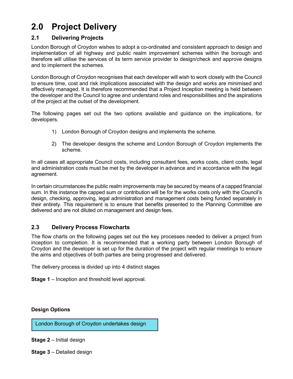## **2.0 Project Delivery**

#### **2.1 Delivering Projects**

London Borough of Croydon wishes to adopt a co-ordinated and consistent approach to design and implementation of all highway and public realm improvement schemes within the borough and therefore will utilise the services of its term service provider to design/check and approve designs and to implement the schemes.

London Borough of Croydon recognises that each developer will wish to work closely with the Council to ensure time, cost and risk implications associated with the design and works are minimised and effectively managed. It is therefore recommended that a Project Inception meeting is held between the developer and the Council to agree and understand roles and responsibilities and the aspirations of the project at the outset of the development.

The following pages set out the two options available and guidance on the implications, for developers.

- 1) London Borough of Croydon designs and implements the scheme.
- 2) The developer designs the scheme and London Borough of Croydon implements the scheme.

In all cases all appropriate Council costs, including consultant fees, works costs, client costs, legal and administration costs must be met by the developer in advance and in accordance with the legal agreement.

In certain circumstances the public realm improvements may be secured by means of a capped financial sum. In this instance the capped sum or contribution will be for the works costs only with the Council's design, checking, approving, legal administration and management costs being funded separately in their entirety. This requirement is to ensure that benefits presented to the Planning Committee are delivered and are not diluted on management and design fees.

#### **2.3 Delivery Process Flowcharts**

The flow charts on the following pages set out the key processes needed to deliver a project from inception to completion. It is recommended that a working party between London Borough of Croydon and the developer is set up for the duration of the project with regular meetings to ensure the aims and objectives of both parties are being progressed and delivered.

The delivery process is divided up into 4 distinct stages

**Stage 1** – Inception and threshold level approval.

#### **Design Options**

London Borough of Croydon undertakes design

**Stage 2** – Initial design

**Stage 3** – Detailed design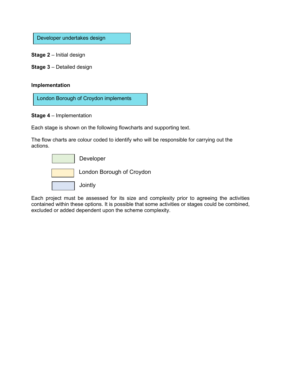Developer undertakes design

**Stage 2** – Initial design

**Stage 3** – Detailed design

#### **Implementation**

London Borough of Croydon implements

#### **Stage 4** – Implementation

Each stage is shown on the following flowcharts and supporting text.

The flow charts are colour coded to identify who will be responsible for carrying out the actions.



Each project must be assessed for its size and complexity prior to agreeing the activities contained within these options. It is possible that some activities or stages could be combined, excluded or added dependent upon the scheme complexity.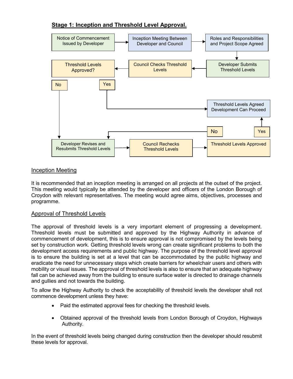## **Stage 1: Inception and Threshold Level Approval.**



#### Inception Meeting

It is recommended that an inception meeting is arranged on all projects at the outset of the project. This meeting would typically be attended by the developer and officers of the London Borough of Croydon with relevant representatives. The meeting would agree aims, objectives, processes and programme.

#### Approval of Threshold Levels

The approval of threshold levels is a very important element of progressing a development. Threshold levels must be submitted and approved by the Highway Authority in advance of commencement of development, this is to ensure approval is not compromised by the levels being set by construction work. Getting threshold levels wrong can create significant problems to both the development access requirements and public highway. The purpose of the threshold level approval is to ensure the building is set at a level that can be accommodated by the public highway and eradicate the need for unnecessary steps which create barriers for wheelchair users and others with mobility or visual issues. The approval of threshold levels is also to ensure that an adequate highway fall can be achieved away from the building to ensure surface water is directed to drainage channels and gullies and not towards the building.

To allow the Highway Authority to check the acceptability of threshold levels the developer shall not commence development unless they have:

- Paid the estimated approval fees for checking the threshold levels.
- Obtained approval of the threshold levels from London Borough of Croydon, Highways Authority.

In the event of threshold levels being changed during construction then the developer should resubmit these levels for approval.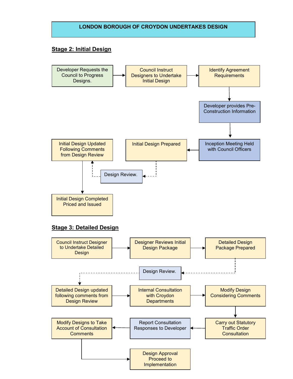#### **LONDON BOROUGH OF CROYDON UNDERTAKES DESIGN**

#### **Stage 2: Initial Design**

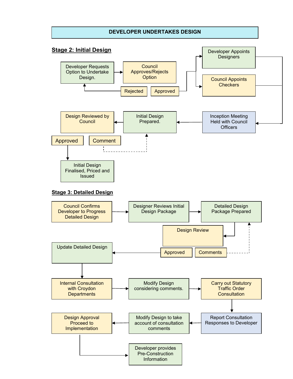#### **DEVELOPER UNDERTAKES DESIGN**

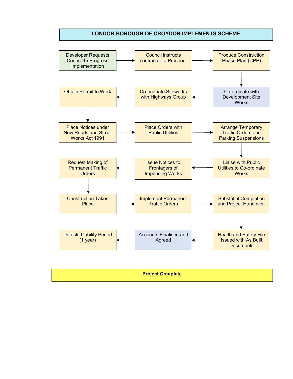#### **LONDON BOROUGH OF CROYDON IMPLEMENTS SCHEME**



| <b>Project Complete</b> |
|-------------------------|
|                         |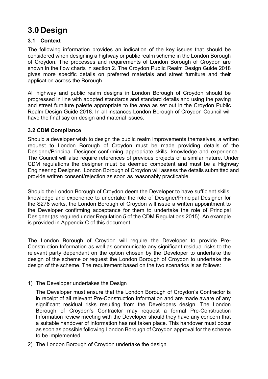## **3.0 Design**

## **3.1 Context**

The following information provides an indication of the key issues that should be considered when designing a highway or public realm scheme in the London Borough of Croydon. The processes and requirements of London Borough of Croydon are shown in the flow charts in section 2. The Croydon Public Realm Design Guide 2018 gives more specific details on preferred materials and street furniture and their application across the Borough.

All highway and public realm designs in London Borough of Croydon should be progressed in line with adopted standards and standard details and using the paving and street furniture palette appropriate to the area as set out in the Croydon Public Realm Design Guide 2018. In all instances London Borough of Croydon Council will have the final say on design and material issues.

#### **3.2 CDM Compliance**

Should a developer wish to design the public realm improvements themselves, a written request to London Borough of Croydon must be made providing details of the Designer/Principal Designer confirming appropriate skills, knowledge and experience. The Council will also require references of previous projects of a similar nature. Under CDM regulations the designer must be deemed competent and must be a Highway Engineering Designer. London Borough of Croydon will assess the details submitted and provide written consent/rejection as soon as reasonably practicable.

Should the London Borough of Croydon deem the Developer to have sufficient skills, knowledge and experience to undertake the role of Designer/Principal Designer for the S278 works, the London Borough of Croydon will issue a written appointment to the Developer confirming acceptance for them to undertake the role of Principal Designer (as required under Regulation 5 of the CDM Regulations 2015). An example is provided in Appendix C of this document.

The London Borough of Croydon will require the Developer to provide Pre-Construction Information as well as communicate any significant residual risks to the relevant party dependant on the option chosen by the Developer to undertake the design of the scheme or request the London Borough of Croydon to undertake the design of the scheme. The requirement based on the two scenarios is as follows:

1) The Developer undertakes the Design

The Developer must ensure that the London Borough of Croydon's Contractor is in receipt of all relevant Pre-Construction Information and are made aware of any significant residual risks resulting from the Developers design. The London Borough of Croydon's Contractor may request a formal Pre-Construction Information review meeting with the Developer should they have any concern that a suitable handover of information has not taken place. This handover must occur as soon as possible following London Borough of Croydon approval for the scheme to be implemented.

2) The London Borough of Croydon undertake the design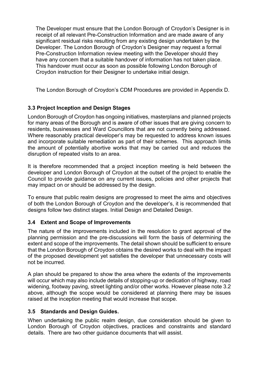The Developer must ensure that the London Borough of Croydon's Designer is in receipt of all relevant Pre-Construction Information and are made aware of any significant residual risks resulting from any existing design undertaken by the Developer. The London Borough of Croydon's Designer may request a formal Pre-Construction Information review meeting with the Developer should they have any concern that a suitable handover of information has not taken place. This handover must occur as soon as possible following London Borough of Croydon instruction for their Designer to undertake initial design.

The London Borough of Croydon's CDM Procedures are provided in Appendix D.

## **3.3 Project Inception and Design Stages**

London Borough of Croydon has ongoing initiatives, masterplans and planned projects for many areas of the Borough and is aware of other issues that are giving concern to residents, businesses and Ward Councillors that are not currently being addressed. Where reasonably practical developer's may be requested to address known issues and incorporate suitable remediation as part of their schemes. This approach limits the amount of potentially abortive works that may be carried out and reduces the disruption of repeated visits to an area.

It is therefore recommended that a project inception meeting is held between the developer and London Borough of Croydon at the outset of the project to enable the Council to provide guidance on any current issues, policies and other projects that may impact on or should be addressed by the design.

To ensure that public realm designs are progressed to meet the aims and objectives of both the London Borough of Croydon and the developer's, it is recommended that designs follow two distinct stages. Initial Design and Detailed Design.

## **3.4 Extent and Scope of Improvements**

The nature of the improvements included in the resolution to grant approval of the planning permission and the pre-discussions will form the basis of determining the extent and scope of the improvements. The detail shown should be sufficient to ensure that the London Borough of Croydon obtains the desired works to deal with the impact of the proposed development yet satisfies the developer that unnecessary costs will not be incurred.

A plan should be prepared to show the area where the extents of the improvements will occur which may also include details of stopping-up or dedication of highway, road widening, footway paving, street lighting and/or other works. However please note 3.2 above, although the scope would be considered at planning there may be issues raised at the inception meeting that would increase that scope.

#### **3.5 Standards and Design Guides.**

When undertaking the public realm design, due consideration should be given to London Borough of Croydon objectives, practices and constraints and standard details. There are two other guidance documents that will assist.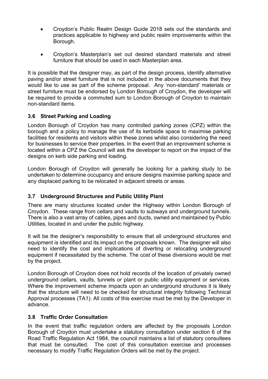- Croydon's Public Realm Design Guide 2018 sets out the standards and practices applicable to highway and public realm improvements within the Borough.
- Croydon's Masterplan's set out desired standard materials and street furniture that should be used in each Masterplan area.

It is possible that the designer may, as part of the design process, identify alternative paving and/or street furniture that is not included in the above documents that they would like to use as part of the scheme proposal. Any 'non-standard' materials or street furniture must be endorsed by London Borough of Croydon, the developer will be required to provide a commuted sum to London Borough of Croydon to maintain non-standard items.

#### **3.6 Street Parking and Loading**

London Borough of Croydon has many controlled parking zones (CPZ) within the borough and a policy to manage the use of its kerbside space to maximise parking facilities for residents and visitors within these zones whilst also considering the need for businesses to service their properties. In the event that an improvement scheme is located within a CPZ the Council will ask the developer to report on the impact of the designs on kerb side parking and loading.

London Borough of Croydon will generally be looking for a parking study to be undertaken to determine occupancy and ensure designs maximise parking space and any displaced parking to be relocated in adjacent streets or areas.

#### **3.7 Underground Structures and Public Utility Plant**

There are many structures located under the Highway within London Borough of Croydon. These range from cellars and vaults to subways and underground tunnels. There is also a vast array of cables, pipes and ducts, owned and maintained by Public Utilities, located in and under the public highway.

It will be the designer's responsibility to ensure that all underground structures and equipment is identified and its impact on the proposals known. The designer will also need to identify the cost and implications of diverting or relocating underground equipment if necessitated by the scheme. The cost of these diversions would be met by the project.

London Borough of Croydon does not hold records of the location of privately owned underground cellars, vaults, tunnels or plant or public utility equipment or services. Where the improvement scheme impacts upon an underground structures it is likely that the structure will need to be checked for structural integrity following Technical Approval processes (TA1). All costs of this exercise must be met by the Developer in advance.

#### **3.8 Traffic Order Consultation**

In the event that traffic regulation orders are affected by the proposals London Borough of Croydon must undertake a statutory consultation under section 6 of the Road Traffic Regulation Act 1984, the council maintains a list of statutory consultees that must be consulted. The cost of this consultation exercise and processes necessary to modify Traffic Regulation Orders will be met by the project.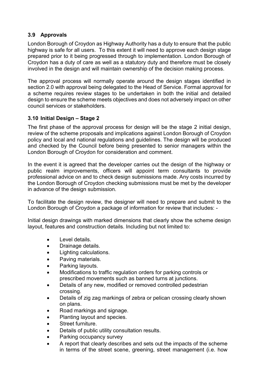### **3.9 Approvals**

London Borough of Croydon as Highway Authority has a duty to ensure that the public highway is safe for all users. To this extent it will need to approve each design stage prepared prior to it being progressed through to implementation. London Borough of Croydon has a duty of care as well as a statutory duty and therefore must be closely involved in the design and will maintain ownership of the decision making process.

The approval process will normally operate around the design stages identified in section 2.0 with approval being delegated to the Head of Service. Formal approval for a scheme requires review stages to be undertaken in both the initial and detailed design to ensure the scheme meets objectives and does not adversely impact on other council services or stakeholders.

#### **3.10 Initial Design – Stage 2**

The first phase of the approval process for design will be the stage 2 initial design, review of the scheme proposals and implications against London Borough of Croydon policy and local and national regulations and guidelines. The design will be produced and checked by the Council before being presented to senior managers within the London Borough of Croydon for consideration and comment.

In the event it is agreed that the developer carries out the design of the highway or public realm improvements, officers will appoint term consultants to provide professional advice on and to check design submissions made. Any costs incurred by the London Borough of Croydon checking submissions must be met by the developer in advance of the design submission.

To facilitate the design review, the designer will need to prepare and submit to the London Borough of Croydon a package of information for review that includes: -

Initial design drawings with marked dimensions that clearly show the scheme design layout, features and construction details. Including but not limited to:

- Level details.
- Drainage details.
- Lighting calculations.
- Paving materials.
- Parking layouts.
- Modifications to traffic regulation orders for parking controls or prescribed movements such as banned turns at junctions.
- Details of any new, modified or removed controlled pedestrian crossing.
- Details of zig zag markings of zebra or pelican crossing clearly shown on plans.
- Road markings and signage.
- Planting layout and species.
- Street furniture.
- Details of public utility consultation results.
- Parking occupancy survey
- A report that clearly describes and sets out the impacts of the scheme in terms of the street scene, greening, street management (i.e. how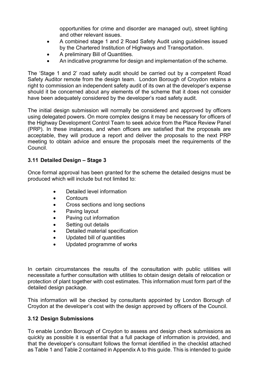opportunities for crime and disorder are managed out), street lighting and other relevant issues.

- A combined stage 1 and 2 Road Safety Audit using guidelines issued by the Chartered Institution of Highways and Transportation.
- A preliminary Bill of Quantities.
- An indicative programme for design and implementation of the scheme.

The 'Stage 1 and 2' road safety audit should be carried out by a competent Road Safety Auditor remote from the design team. London Borough of Croydon retains a right to commission an independent safety audit of its own at the developer's expense should it be concerned about any elements of the scheme that it does not consider have been adequately considered by the developer's road safety audit.

The initial design submission will normally be considered and approved by officers using delegated powers. On more complex designs it may be necessary for officers of the Highway Development Control Team to seek advice from the Place Review Panel (PRP). In these instances, and when officers are satisfied that the proposals are acceptable, they will produce a report and deliver the proposals to the next PRP meeting to obtain advice and ensure the proposals meet the requirements of the Council.

### **3.11 Detailed Design – Stage 3**

Once formal approval has been granted for the scheme the detailed designs must be produced which will include but not limited to:

- Detailed level information
- Contours
- Cross sections and long sections
- Paving layout
- Paving cut information
- Setting out details
- Detailed material specification
- Updated bill of quantities
- Updated programme of works

In certain circumstances the results of the consultation with public utilities will necessitate a further consultation with utilities to obtain design details of relocation or protection of plant together with cost estimates. This information must form part of the detailed design package.

This information will be checked by consultants appointed by London Borough of Croydon at the developer's cost with the design approved by officers of the Council.

## **3.12 Design Submissions**

To enable London Borough of Croydon to assess and design check submissions as quickly as possible it is essential that a full package of information is provided, and that the developer's consultant follows the format identified in the checklist attached as Table 1 and Table 2 contained in Appendix A to this guide. This is intended to guide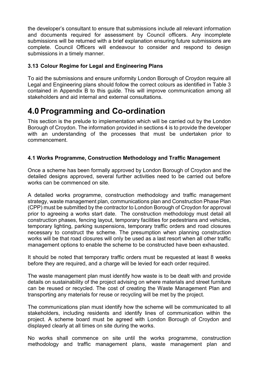the developer's consultant to ensure that submissions include all relevant information and documents required for assessment by Council officers. Any incomplete submissions will be returned with a brief explanation ensuring future submissions are complete. Council Officers will endeavour to consider and respond to design submissions in a timely manner.

#### **3.13 Colour Regime for Legal and Engineering Plans**

To aid the submissions and ensure uniformity London Borough of Croydon require all Legal and Engineering plans should follow the correct colours as identified in Table 3 contained in Appendix B to this guide. This will improve communication among all stakeholders and aid internal and external consultations.

## **4.0 Programming and Co-ordination**

This section is the prelude to implementation which will be carried out by the London Borough of Croydon. The information provided in sections 4 is to provide the developer with an understanding of the processes that must be undertaken prior to commencement.

### **4.1 Works Programme, Construction Methodology and Traffic Management**

Once a scheme has been formally approved by London Borough of Croydon and the detailed designs approved, several further activities need to be carried out before works can be commenced on site.

A detailed works programme, construction methodology and traffic management strategy, waste management plan, communications plan and Construction Phase Plan (CPP) must be submitted by the contractor to London Borough of Croydon for approval prior to agreeing a works start date. The construction methodology must detail all construction phases, fencing layout, temporary facilities for pedestrians and vehicles, temporary lighting, parking suspensions, temporary traffic orders and road closures necessary to construct the scheme. The presumption when planning construction works will be that road closures will only be used as a last resort when all other traffic management options to enable the scheme to be constructed have been exhausted.

It should be noted that temporary traffic orders must be requested at least 8 weeks before they are required, and a charge will be levied for each order required.

The waste management plan must identify how waste is to be dealt with and provide details on sustainability of the project advising on where materials and street furniture can be reused or recycled. The cost of creating the Waste Management Plan and transporting any materials for reuse or recycling will be met by the project.

The communications plan must identify how the scheme will be communicated to all stakeholders, including residents and identify lines of communication within the project. A scheme board must be agreed with London Borough of Croydon and displayed clearly at all times on site during the works.

No works shall commence on site until the works programme, construction methodology and traffic management plans, waste management plan and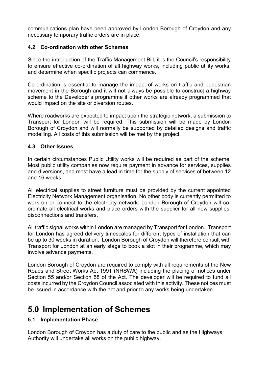communications plan have been approved by London Borough of Croydon and any necessary temporary traffic orders are in place.

### **4.2 Co-ordination with other Schemes**

Since the introduction of the Traffic Management Bill, it is the Council's responsibility to ensure effective co-ordination of all highway works, including public utility works, and determine when specific projects can commence.

Co-ordination is essential to manage the impact of works on traffic and pedestrian movement in the Borough and it will not always be possible to construct a highway scheme to the Developer's programme if other works are already programmed that would impact on the site or diversion routes.

Where roadworks are expected to impact upon the strategic network, a submission to Transport for London will be required. This submission will be made by London Borough of Croydon and will normally be supported by detailed designs and traffic modelling. All costs of this submission will be met by the project.

### **4.3 Other Issues**

In certain circumstances Public Utility works will be required as part of the scheme. Most public utility companies now require payment in advance for services, supplies and diversions, and most have a lead in time for the supply of services of between 12 and 16 weeks.

All electrical supplies to street furniture must be provided by the current appointed Electricity Network Management organisation. No other body is currently permitted to work on or connect to the electricity network. London Borough of Croydon will coordinate all electrical works and place orders with the supplier for all new supplies, disconnections and transfers.

All traffic signal works within London are managed by Transport for London. Transport for London has agreed delivery timescales for different types of installation that can be up to 30 weeks in duration. London Borough of Croydon will therefore consult with Transport for London at an early stage to book a slot in their programme, which may involve advance payments.

London Borough of Croydon are required to comply with all requirements of the New Roads and Street Works Act 1991 (NRSWA) including the placing of notices under Section 55 and/or Section 58 of the Act. The developer will be required to fund all costs incurred by the Croydon Council associated with this activity. These notices must be issued in accordance with the act and prior to any works being undertaken.

## **5.0 Implementation of Schemes**

## **5.1 Implementation Phase**

London Borough of Croydon has a duty of care to the public and as the Highways Authority will undertake all works on the public highway.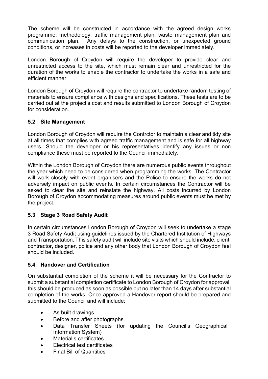The scheme will be constructed in accordance with the agreed design works programme, methodology, traffic management plan, waste management plan and communication plan. Any delays to the construction, or unexpected ground conditions, or increases in costs will be reported to the developer immediately.

London Borough of Croydon will require the developer to provide clear and unrestricted access to the site, which must remain clear and unrestricted for the duration of the works to enable the contractor to undertake the works in a safe and efficient manner.

London Borough of Croydon will require the contractor to undertake random testing of materials to ensure compliance with designs and specifications. These tests are to be carried out at the project's cost and results submitted to London Borough of Croydon for consideration.

#### **5.2 Site Management**

London Borough of Croydon will require the Contrctor to maintain a clear and tidy site at all times that complies with agreed traffic management and is safe for all highway users. Should the developer or his representatives identify any issues or non compliance these must be reported to the Council immediately.

Within the London Borough of Croydon there are numerous public events throughout the year which need to be considered when programming the works. The Contractor will work closely with event organisers and the Police to ensure the works do not adversely impact on public events. In certain circumstances the Contractor will be asked to clear the site and reinstate the highway. All costs incurred by London Borough of Croydon accommodating measures around public events must be met by the project.

## **5.3 Stage 3 Road Safety Audit**

In certain circumstances London Borough of Croydon will seek to undertake a stage 3 Road Safety Audit using guidelines issued by the Chartered Institution of Highways and Transportation. This safety audit will include site visits which should include, client, contractor, designer, police and any other body that London Borough of Croydon feel should be included.

#### **5.4 Handover and Certification**

On substantial completion of the scheme it will be necessary for the Contractor to submit a substantial completion certificate to London Borough of Croydon for approval, this should be produced as soon as possible but no later than 14 days after substantial completion of the works. Once approved a Handover report should be prepared and submitted to the Council and will include:

- As built drawings
- Before and after photographs.
- Data Transfer Sheets (for updating the Council's Geographical Information System)
- Material's certificates
- Electrical test certificates
- Final Bill of Quantities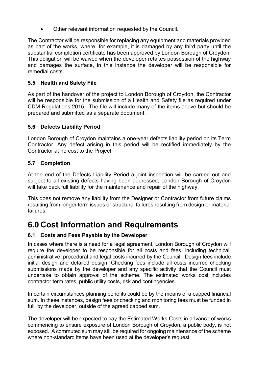• Other relevant information requested by the Council.

The Contractor will be responsible for replacing any equipment and materials provided as part of the works, where, for example, it is damaged by any third party until the substantial completion certificate has been approved by London Borough of Croydon. This obligation will be waived when the developer retakes possession of the highway and damages the surface, in this instance the developer will be responsible for remedial costs.

### **5.5 Health and Safety File**

As part of the handover of the project to London Borough of Croydon, the Contractor will be responsible for the submission of a Health and Safety file as required under CDM Regulations 2015. The file will include many of the items above but should be prepared and submitted as a separate document.

#### **5.6 Defects Liability Period**

London Borough of Croydon maintains a one-year defects liability period on its Term Contractor. Any defect arising in this period will be rectified immediately by the Contractor at no cost to the Project.

### **5.7 Completion**

At the end of the Defects Liability Period a joint inspection will be carried out and subject to all existing defects having been addressed, London Borough of Croydon will take back full liability for the maintenance and repair of the highway.

This does not remove any liability from the Designer or Contractor from future claims resulting from longer term issues or structural failures resulting from design or material failures.

## **6.0 Cost Information and Requirements**

## **6.1 Costs and Fees Payable by the Developer**

In cases where there is a need for a legal agreement, London Borough of Croydon will require the developer to be responsible for all costs and fees, including technical, administrative, procedural and legal costs incurred by the Council. Design fees include initial design and detailed design. Checking fees include all costs incurred checking submissions made by the developer and any specific activity that the Council must undertake to obtain approval of the scheme. The estimated works cost includes contractor term rates, public utility costs, risk and contingencies.

In certain circumstances planning benefits could be by the means of a capped financial sum. In these instances, design fees or checking and monitoring fees must be funded in full, by the developer, outside of the agreed capped sum.

The developer will be expected to pay the Estimated Works Costs in advance of works commencing to ensure exposure of London Borough of Croydon, a public body, is not exposed. A commuted sum may still be required for ongoing maintenance of the scheme where non-standard items have been used at the developer's request.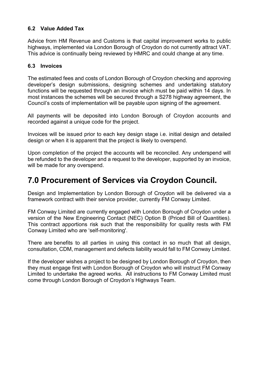### **6.2 Value Added Tax**

Advice from HM Revenue and Customs is that capital improvement works to public highways, implemented via London Borough of Croydon do not currently attract VAT. This advice is continually being reviewed by HMRC and could change at any time.

#### **6.3 Invoices**

The estimated fees and costs of London Borough of Croydon checking and approving developer's design submissions, designing schemes and undertaking statutory functions will be requested through an invoice which must be paid within 14 days. In most instances the schemes will be secured through a S278 highway agreement, the Council's costs of implementation will be payable upon signing of the agreement.

All payments will be deposited into London Borough of Croydon accounts and recorded against a unique code for the project.

Invoices will be issued prior to each key design stage i.e. initial design and detailed design or when it is apparent that the project is likely to overspend.

Upon completion of the project the accounts will be reconciled. Any underspend will be refunded to the developer and a request to the developer, supported by an invoice, will be made for any overspend.

## **7.0 Procurement of Services via Croydon Council.**

Design and Implementation by London Borough of Croydon will be delivered via a framework contract with their service provider, currently FM Conway Limited.

FM Conway Limited are currently engaged with London Borough of Croydon under a version of the New Engineering Contact (NEC) Option B (Priced Bill of Quantities). This contract apportions risk such that the responsibility for quality rests with FM Conway Limited who are 'self-monitoring'.

There are benefits to all parties in using this contact in so much that all design, consultation, CDM, management and defects liability would fall to FM Conway Limited.

If the developer wishes a project to be designed by London Borough of Croydon, then they must engage first with London Borough of Croydon who will instruct FM Conway Limited to undertake the agreed works. All instructions to FM Conway Limited must come through London Borough of Croydon's Highways Team.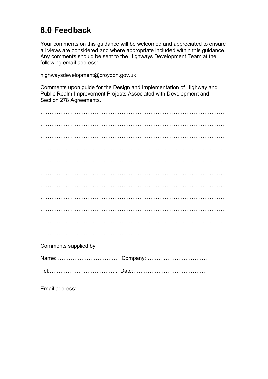## **8.0 Feedback**

Your comments on this guidance will be welcomed and appreciated to ensure all views are considered and where appropriate included within this guidance. Any comments should be sent to the Highways Development Team at the following email address:

highwaysdevelopment@croydon.gov.uk

Comments upon guide for the Design and Implementation of Highway and Public Realm Improvement Projects Associated with Development and Section 278 Agreements.

| Comments supplied by: |  |
|-----------------------|--|
|                       |  |
|                       |  |
|                       |  |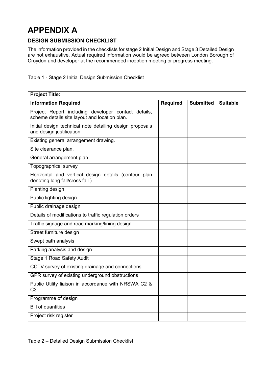## **APPENDIX A**

### **DESIGN SUBMISSION CHECKLIST**

The information provided in the checklists for stage 2 Initial Design and Stage 3 Detailed Design are not exhaustive. Actual required information would be agreed between London Borough of Croydon and developer at the recommended inception meeting or progress meeting.

Table 1 - Stage 2 Initial Design Submission Checklist

| <b>Project Title:</b>                                                                                |                 |                  |                 |
|------------------------------------------------------------------------------------------------------|-----------------|------------------|-----------------|
| <b>Information Required</b>                                                                          | <b>Required</b> | <b>Submitted</b> | <b>Suitable</b> |
| Project Report including developer contact details,<br>scheme details site layout and location plan. |                 |                  |                 |
| Initial design technical note detailing design proposals<br>and design justification.                |                 |                  |                 |
| Existing general arrangement drawing.                                                                |                 |                  |                 |
| Site clearance plan.                                                                                 |                 |                  |                 |
| General arrangement plan                                                                             |                 |                  |                 |
| Topographical survey                                                                                 |                 |                  |                 |
| Horizontal and vertical design details (contour plan<br>denoting long fall/cross fall.)              |                 |                  |                 |
| Planting design                                                                                      |                 |                  |                 |
| Public lighting design                                                                               |                 |                  |                 |
| Public drainage design                                                                               |                 |                  |                 |
| Details of modifications to traffic regulation orders                                                |                 |                  |                 |
| Traffic signage and road marking/lining design                                                       |                 |                  |                 |
| Street furniture design                                                                              |                 |                  |                 |
| Swept path analysis                                                                                  |                 |                  |                 |
| Parking analysis and design                                                                          |                 |                  |                 |
| <b>Stage 1 Road Safety Audit</b>                                                                     |                 |                  |                 |
| CCTV survey of existing drainage and connections                                                     |                 |                  |                 |
| GPR survey of existing underground obstructions                                                      |                 |                  |                 |
| Public Utility liaison in accordance with NRSWA C2 &<br>C <sub>3</sub>                               |                 |                  |                 |
| Programme of design                                                                                  |                 |                  |                 |
| <b>Bill of quantities</b>                                                                            |                 |                  |                 |
| Project risk register                                                                                |                 |                  |                 |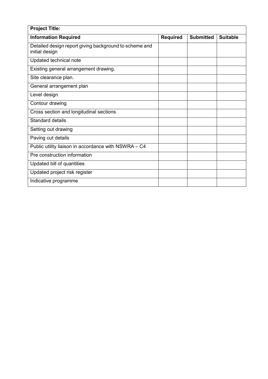| <b>Project Title:</b>                                                    |                 |                  |                 |
|--------------------------------------------------------------------------|-----------------|------------------|-----------------|
| <b>Information Required</b>                                              | <b>Required</b> | <b>Submitted</b> | <b>Suitable</b> |
| Detailed design report giving background to scheme and<br>initial design |                 |                  |                 |
| Updated technical note                                                   |                 |                  |                 |
| Existing general arrangement drawing.                                    |                 |                  |                 |
| Site clearance plan.                                                     |                 |                  |                 |
| General arrangement plan                                                 |                 |                  |                 |
| Level design                                                             |                 |                  |                 |
| Contour drawing                                                          |                 |                  |                 |
| Cross section and longitudinal sections                                  |                 |                  |                 |
| <b>Standard details</b>                                                  |                 |                  |                 |
| Setting out drawing                                                      |                 |                  |                 |
| Paving cut details                                                       |                 |                  |                 |
| Public utility liaison in accordance with NSWRA - C4                     |                 |                  |                 |
| Pre construction information                                             |                 |                  |                 |
| Updated bill of quantities                                               |                 |                  |                 |
| Updated project risk register                                            |                 |                  |                 |
| Indicative programme                                                     |                 |                  |                 |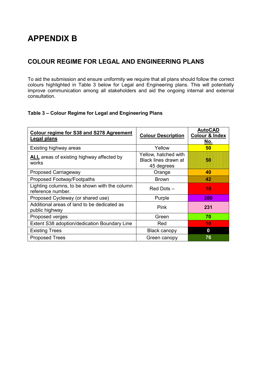## **APPENDIX B**

## **COLOUR REGIME FOR LEGAL AND ENGINEERING PLANS**

To aid the submission and ensure uniformity we require that all plans should follow the correct colours highlighted in Table 3 below for Legal and Engineering plans. This will potentially improve communication among all stakeholders and aid the ongoing internal and external consultation.

#### **Table 3 – Colour Regime for Legal and Engineering Plans**

| <b>Colour regime for S38 and S278 Agreement</b><br><b>Legal plans</b> | <b>Colour Description</b>                                  | <b>AutoCAD</b><br><b>Colour &amp; Index</b><br>No. |
|-----------------------------------------------------------------------|------------------------------------------------------------|----------------------------------------------------|
| Existing highway areas                                                | Yellow                                                     | 50                                                 |
| <b>ALL</b> areas of existing highway affected by<br>works             | Yellow, hatched with<br>Black lines drawn at<br>45 degrees | HI                                                 |
| <b>Proposed Carriageway</b>                                           | Orange                                                     | 40                                                 |
| Proposed Footway/Footpaths                                            | <b>Brown</b>                                               | 42                                                 |
| Lighting columns, to be shown with the column<br>reference number.    | Red Dots-                                                  | 10                                                 |
| Proposed Cycleway (or shared use)                                     | Purple                                                     | 200                                                |
| Additional areas of land to be dedicated as<br>public highway         | Pink                                                       | 231                                                |
| Proposed verges                                                       | Green                                                      | 70                                                 |
| Extent S38 adoption/dedication Boundary Line                          | Red                                                        | 10                                                 |
| <b>Existing Trees</b>                                                 | Black canopy                                               | $\bf{0}$                                           |
| <b>Proposed Trees</b>                                                 | Green canopy                                               | 76                                                 |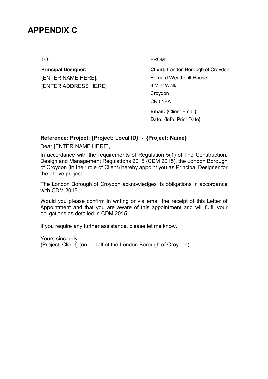## **APPENDIX C**

**Principal Designer:** [ENTER NAME HERE], [ENTER ADDRESS HERE]

TO: FROM:

**Client:** London Borough of Croydon Bernard Weatherill House 8 Mint Walk Croydon CR0 1EA

**Email:** {Client Email} **Date:** {Info: Print Date}

#### **Reference: Project: {Project: Local ID} - {Project: Name}**

Dear [ENTER NAME HERE],

In accordance with the requirements of Regulation 5(1) of The Construction, Design and Management Regulations 2015 (CDM 2015), the London Borough of Croydon (in their role of Client) hereby appoint you as Principal Designer for the above project.

The London Borough of Croydon acknowledges its obligations in accordance with CDM 2015

Would you please confirm in writing or via email the receipt of this Letter of Appointment and that you are aware of this appointment and will fulfil your obligations as detailed in CDM 2015.

If you require any further assistance, please let me know.

Yours sincerely {Project: Client} (on behalf of the London Borough of Croydon)